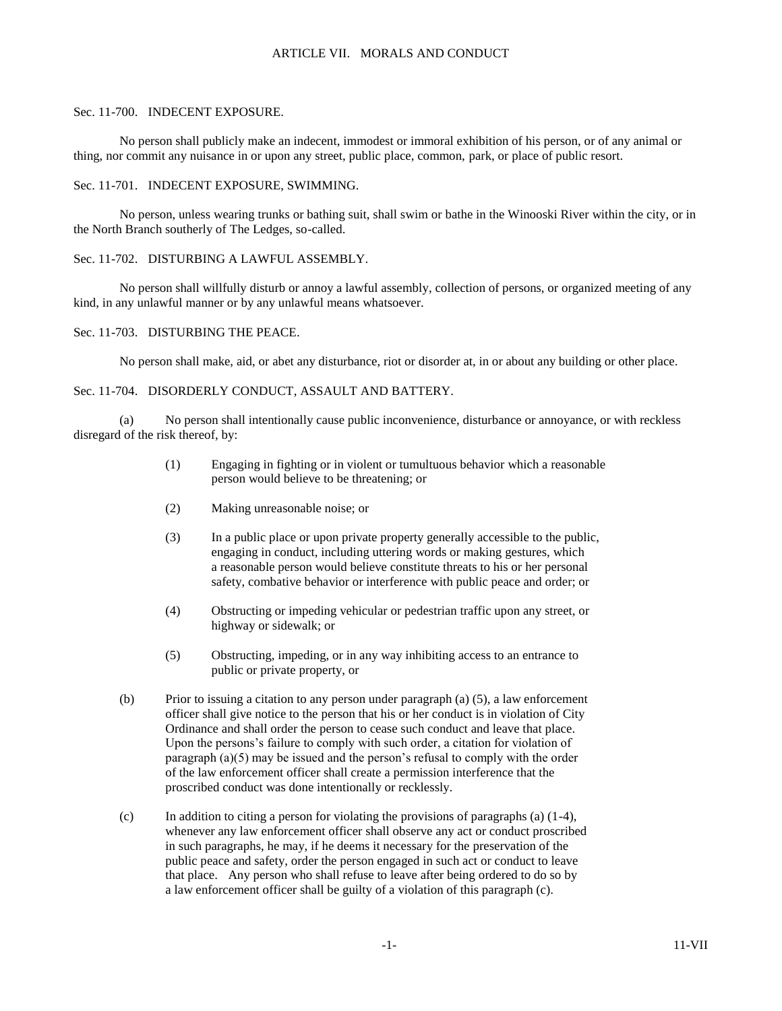## ARTICLE VII. MORALS AND CONDUCT

#### Sec. 11-700. INDECENT EXPOSURE.

No person shall publicly make an indecent, immodest or immoral exhibition of his person, or of any animal or thing, nor commit any nuisance in or upon any street, public place, common, park, or place of public resort.

### Sec. 11-701. INDECENT EXPOSURE, SWIMMING.

No person, unless wearing trunks or bathing suit, shall swim or bathe in the Winooski River within the city, or in the North Branch southerly of The Ledges, so-called.

### Sec. 11-702. DISTURBING A LAWFUL ASSEMBLY.

No person shall willfully disturb or annoy a lawful assembly, collection of persons, or organized meeting of any kind, in any unlawful manner or by any unlawful means whatsoever.

## Sec. 11-703. DISTURBING THE PEACE.

No person shall make, aid, or abet any disturbance, riot or disorder at, in or about any building or other place.

### Sec. 11-704. DISORDERLY CONDUCT, ASSAULT AND BATTERY.

(a) No person shall intentionally cause public inconvenience, disturbance or annoyance, or with reckless disregard of the risk thereof, by:

- (1) Engaging in fighting or in violent or tumultuous behavior which a reasonable person would believe to be threatening; or
- (2) Making unreasonable noise; or
- (3) In a public place or upon private property generally accessible to the public, engaging in conduct, including uttering words or making gestures, which a reasonable person would believe constitute threats to his or her personal safety, combative behavior or interference with public peace and order; or
- (4) Obstructing or impeding vehicular or pedestrian traffic upon any street, or highway or sidewalk; or
- (5) Obstructing, impeding, or in any way inhibiting access to an entrance to public or private property, or
- (b) Prior to issuing a citation to any person under paragraph (a) (5), a law enforcement officer shall give notice to the person that his or her conduct is in violation of City Ordinance and shall order the person to cease such conduct and leave that place. Upon the persons's failure to comply with such order, a citation for violation of paragraph (a)(5) may be issued and the person's refusal to comply with the order of the law enforcement officer shall create a permission interference that the proscribed conduct was done intentionally or recklessly.
- (c) In addition to citing a person for violating the provisions of paragraphs (a)  $(1-4)$ , whenever any law enforcement officer shall observe any act or conduct proscribed in such paragraphs, he may, if he deems it necessary for the preservation of the public peace and safety, order the person engaged in such act or conduct to leave that place. Any person who shall refuse to leave after being ordered to do so by a law enforcement officer shall be guilty of a violation of this paragraph (c).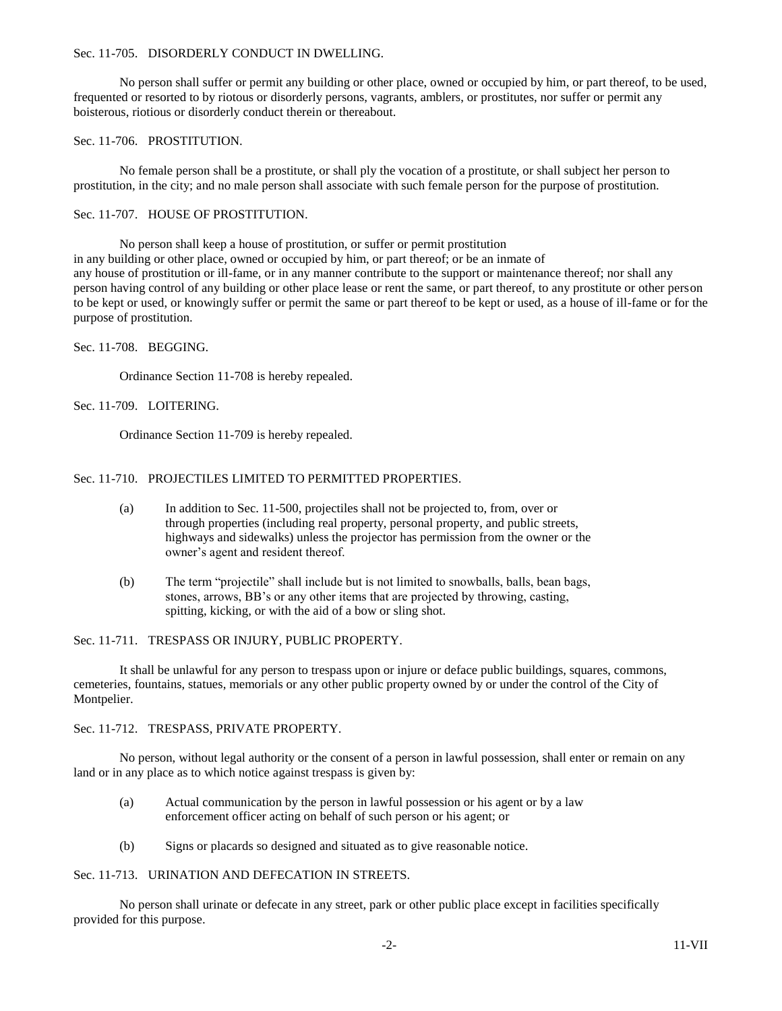### Sec. 11-705. DISORDERLY CONDUCT IN DWELLING.

No person shall suffer or permit any building or other place, owned or occupied by him, or part thereof, to be used, frequented or resorted to by riotous or disorderly persons, vagrants, amblers, or prostitutes, nor suffer or permit any boisterous, riotious or disorderly conduct therein or thereabout.

# Sec. 11-706. PROSTITUTION.

No female person shall be a prostitute, or shall ply the vocation of a prostitute, or shall subject her person to prostitution, in the city; and no male person shall associate with such female person for the purpose of prostitution.

### Sec. 11-707. HOUSE OF PROSTITUTION.

No person shall keep a house of prostitution, or suffer or permit prostitution in any building or other place, owned or occupied by him, or part thereof; or be an inmate of any house of prostitution or ill-fame, or in any manner contribute to the support or maintenance thereof; nor shall any person having control of any building or other place lease or rent the same, or part thereof, to any prostitute or other person to be kept or used, or knowingly suffer or permit the same or part thereof to be kept or used, as a house of ill-fame or for the purpose of prostitution.

## Sec. 11-708. BEGGING.

Ordinance Section 11-708 is hereby repealed.

## Sec. 11-709. LOITERING.

Ordinance Section 11-709 is hereby repealed.

## Sec. 11-710. PROJECTILES LIMITED TO PERMITTED PROPERTIES.

- (a) In addition to Sec. 11-500, projectiles shall not be projected to, from, over or through properties (including real property, personal property, and public streets, highways and sidewalks) unless the projector has permission from the owner or the owner's agent and resident thereof.
- (b) The term "projectile" shall include but is not limited to snowballs, balls, bean bags, stones, arrows, BB's or any other items that are projected by throwing, casting, spitting, kicking, or with the aid of a bow or sling shot.

Sec. 11-711. TRESPASS OR INJURY, PUBLIC PROPERTY.

It shall be unlawful for any person to trespass upon or injure or deface public buildings, squares, commons, cemeteries, fountains, statues, memorials or any other public property owned by or under the control of the City of Montpelier.

Sec. 11-712. TRESPASS, PRIVATE PROPERTY.

No person, without legal authority or the consent of a person in lawful possession, shall enter or remain on any land or in any place as to which notice against trespass is given by:

- (a) Actual communication by the person in lawful possession or his agent or by a law enforcement officer acting on behalf of such person or his agent; or
- (b) Signs or placards so designed and situated as to give reasonable notice.

### Sec. 11-713. URINATION AND DEFECATION IN STREETS.

No person shall urinate or defecate in any street, park or other public place except in facilities specifically provided for this purpose.